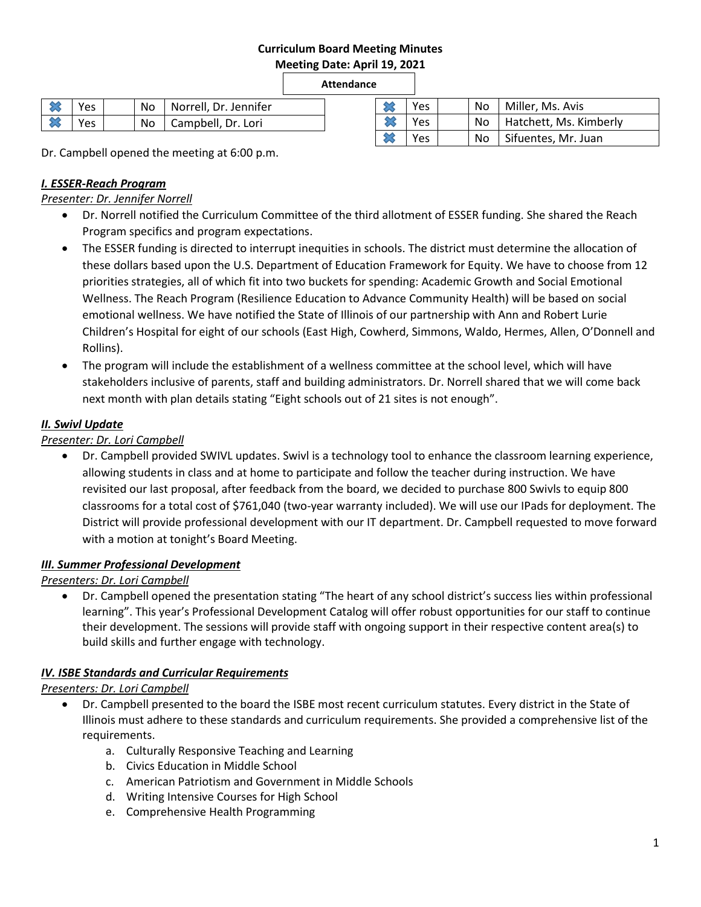# **Curriculum Board Meeting Minutes**

**Meeting Date: April 19, 2021**

**Attendance**

| Yes  | No | Norrell, Dr. Jennifer | ∾           | Yes | No | Miller, Ms. Avis       |
|------|----|-----------------------|-------------|-----|----|------------------------|
| Yes. | No | Campbell, Dr. Lori    |             | Yes | No | Hatchett, Ms. Kimberly |
|      |    |                       | <b>SALE</b> | Yes | No | Sifuentes, Mr. Juan    |

Dr. Campbell opened the meeting at 6:00 p.m.

# *I. ESSER-Reach Program*

*Presenter: Dr. Jennifer Norrell*

- Dr. Norrell notified the Curriculum Committee of the third allotment of ESSER funding. She shared the Reach Program specifics and program expectations.
- The ESSER funding is directed to interrupt inequities in schools. The district must determine the allocation of these dollars based upon the U.S. Department of Education Framework for Equity. We have to choose from 12 priorities strategies, all of which fit into two buckets for spending: Academic Growth and Social Emotional Wellness. The Reach Program (Resilience Education to Advance Community Health) will be based on social emotional wellness. We have notified the State of Illinois of our partnership with Ann and Robert Lurie Children's Hospital for eight of our schools (East High, Cowherd, Simmons, Waldo, Hermes, Allen, O'Donnell and Rollins).
- The program will include the establishment of a wellness committee at the school level, which will have stakeholders inclusive of parents, staff and building administrators. Dr. Norrell shared that we will come back next month with plan details stating "Eight schools out of 21 sites is not enough".

## *II. Swivl Update*

## *Presenter: Dr. Lori Campbell*

 Dr. Campbell provided SWIVL updates. Swivl is a technology tool to enhance the classroom learning experience, allowing students in class and at home to participate and follow the teacher during instruction. We have revisited our last proposal, after feedback from the board, we decided to purchase 800 Swivls to equip 800 classrooms for a total cost of \$761,040 (two-year warranty included). We will use our IPads for deployment. The District will provide professional development with our IT department. Dr. Campbell requested to move forward with a motion at tonight's Board Meeting.

#### *III. Summer Professional Development*

*Presenters: Dr. Lori Campbell*

 Dr. Campbell opened the presentation stating "The heart of any school district's success lies within professional learning". This year's Professional Development Catalog will offer robust opportunities for our staff to continue their development. The sessions will provide staff with ongoing support in their respective content area(s) to build skills and further engage with technology.

# *IV. ISBE Standards and Curricular Requirements*

#### *Presenters: Dr. Lori Campbell*

- Dr. Campbell presented to the board the ISBE most recent curriculum statutes. Every district in the State of Illinois must adhere to these standards and curriculum requirements. She provided a comprehensive list of the requirements.
	- a. Culturally Responsive Teaching and Learning
	- b. Civics Education in Middle School
	- c. American Patriotism and Government in Middle Schools
	- d. Writing Intensive Courses for High School
	- e. Comprehensive Health Programming